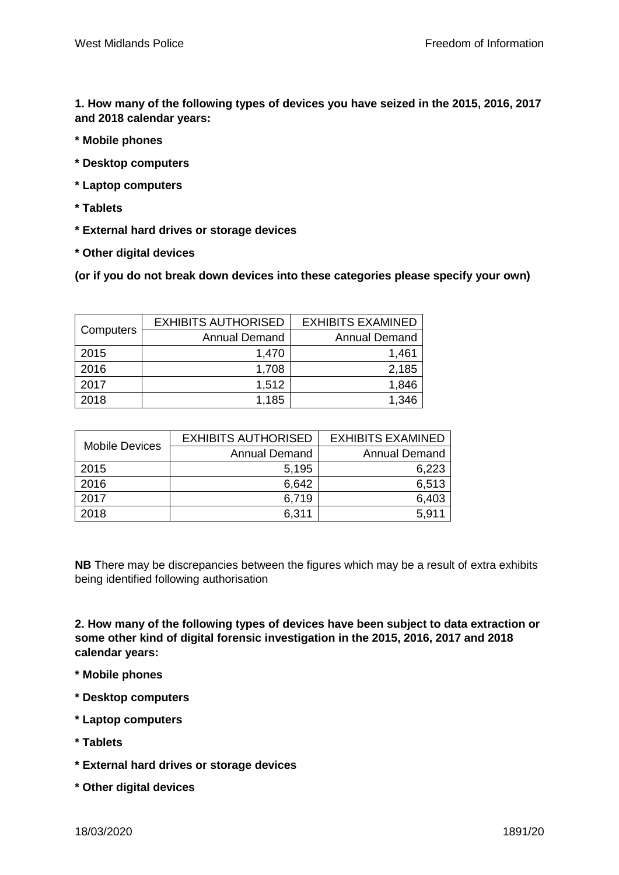**1. How many of the following types of devices you have seized in the 2015, 2016, 2017 and 2018 calendar years:**

- **\* Mobile phones**
- **\* Desktop computers**
- **\* Laptop computers**
- **\* Tablets**
- **\* External hard drives or storage devices**
- **\* Other digital devices**

**(or if you do not break down devices into these categories please specify your own)**

| Computers | <b>EXHIBITS AUTHORISED</b> | <b>EXHIBITS EXAMINED</b> |
|-----------|----------------------------|--------------------------|
|           | <b>Annual Demand</b>       | <b>Annual Demand</b>     |
| 2015      | 1,470                      | 1,461                    |
| 2016      | 1,708                      | 2,185                    |
| 2017      | 1,512                      | 1,846                    |
| 2018      | 1,185                      | 1,346                    |

| <b>Mobile Devices</b> | <b>EXHIBITS AUTHORISED</b> | <b>EXHIBITS EXAMINED</b> |
|-----------------------|----------------------------|--------------------------|
|                       | <b>Annual Demand</b>       | <b>Annual Demand</b>     |
| 2015                  | 5,195                      | 6,223                    |
| 2016                  | 6,642                      | 6,513                    |
| 2017                  | 6,719                      | 6,403                    |
| 2018                  | 6,311                      | 5,911                    |

**NB** There may be discrepancies between the figures which may be a result of extra exhibits being identified following authorisation

**2. How many of the following types of devices have been subject to data extraction or some other kind of digital forensic investigation in the 2015, 2016, 2017 and 2018 calendar years:**

- **\* Mobile phones**
- **\* Desktop computers**
- **\* Laptop computers**
- **\* Tablets**
- **\* External hard drives or storage devices**
- **\* Other digital devices**